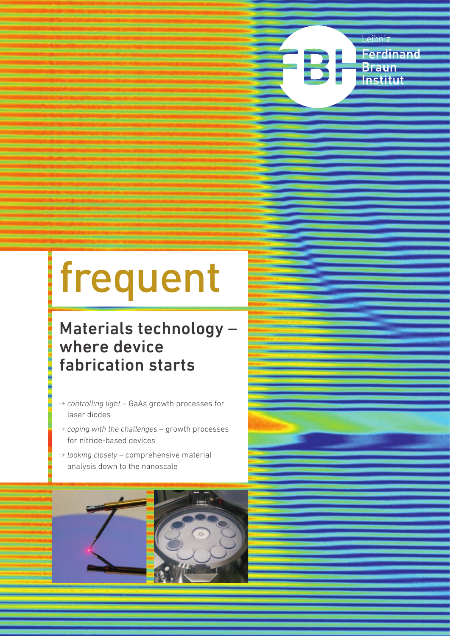

# frequent

## Materials technology – where device fabrication starts

- W *controlling light* GaAs growth processes for laser diodes
- W *coping with the challenges* growth processes for nitride-based devices
- W *looking closely* comprehensive material analysis down to the nanoscale

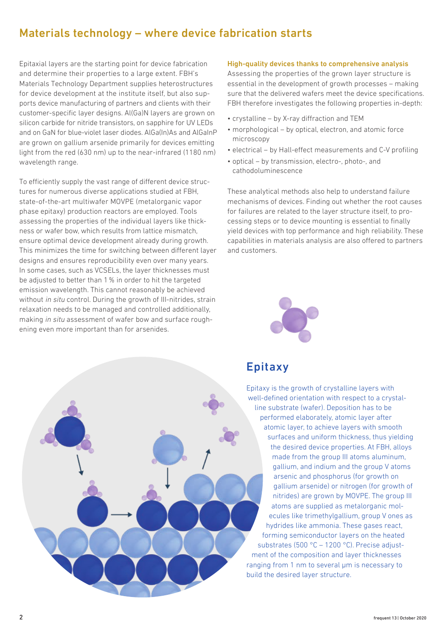## Materials technology – where device fabrication starts

Epitaxial layers are the starting point for device fabrication and determine their properties to a large extent. FBH's Materials Technology Department supplies heterostructures for device development at the institute itself, but also supports device manufacturing of partners and clients with their customer-specific layer designs. Al(Ga)N layers are grown on silicon carbide for nitride transistors, on sapphire for UV LEDs and on GaN for blue-violet laser diodes. AlGa(In)As and AlGaInP are grown on gallium arsenide primarily for devices emitting light from the red (630 nm) up to the near-infrared (1180 nm) wavelength range.

To efficiently supply the vast range of different device structures for numerous diverse applications studied at FBH, state-of-the-art multiwafer MOVPE (metalorganic vapor phase epitaxy) production reactors are employed. Tools assessing the properties of the individual layers like thickness or wafer bow, which results from lattice mismatch, ensure optimal device development already during growth. This minimizes the time for switching between different layer designs and ensures reproducibility even over many years. In some cases, such as VCSELs, the layer thicknesses must be adjusted to better than 1% in order to hit the targeted emission wavelength. This cannot reasonably be achieved without in situ control. During the growth of III-nitrides, strain relaxation needs to be managed and controlled additionally, making in situ assessment of wafer bow and surface roughening even more important than for arsenides.

#### High-quality devices thanks to comprehensive analysis

Assessing the properties of the grown layer structure is essential in the development of growth processes – making sure that the delivered wafers meet the device specifications. FBH therefore investigates the following properties in-depth:

- crystalline by X-ray diffraction and TEM
- morphological by optical, electron, and atomic force microscopy
- electrical by Hall-effect measurements and C-V profiling
- optical by transmission, electro-, photo-, and cathodoluminescence

These analytical methods also help to understand failure mechanisms of devices. Finding out whether the root causes for failures are related to the layer structure itself, to processing steps or to device mounting is essential to finally yield devices with top performance and high reliability. These capabilities in materials analysis are also offered to partners and customers.





## Epitaxy

Epitaxy is the growth of crystalline layers with well-defined orientation with respect to a crystalline substrate (wafer). Deposition has to be performed elaborately, atomic layer after atomic layer, to achieve layers with smooth surfaces and uniform thickness, thus yielding the desired device properties. At FBH, alloys made from the group III atoms aluminum, gallium, and indium and the group V atoms arsenic and phosphorus (for growth on gallium arsenide) or nitrogen (for growth of nitrides) are grown by MOVPE. The group III atoms are supplied as metalorganic molecules like trimethylgallium, group V ones as hydrides like ammonia. These gases react, forming semiconductor layers on the heated substrates (500 °C – 1200 °C). Precise adjustment of the composition and layer thicknesses ranging from 1 nm to several um is necessary to build the desired layer structure.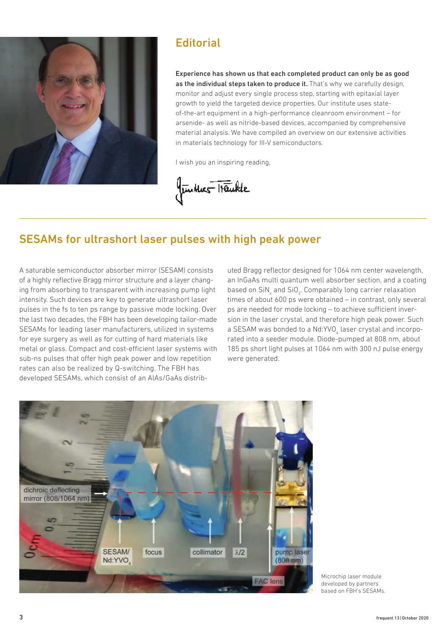

## **Editorial**

Experience has shown us that each completed product can only be as good as the individual steps taken to produce it. That's why we carefully design, monitor and adjust every single process step, starting with epitaxial layer growth to yield the targeted device properties. Our institute uses stateof-the-art equipment in a high-performance cleanroom environment – for arsenide- as well as nitride-based devices, accompanied by comprehensive material analysis. We have compiled an overview on our extensive activities in materials technology for III-V semiconductors.

I wish you an inspiring reading,

funtur Traukte

## SESAMs for ultrashort laser pulses with high peak power

A saturable semiconductor absorber mirror (SESAM) consists of a highly reflective Bragg mirror structure and a layer changing from absorbing to transparent with increasing pump light intensity. Such devices are key to generate ultrashort laser pulses in the fs to ten ps range by passive mode locking. Over the last two decades, the FBH has been developing tailor-made SESAMs for leading laser manufacturers, utilized in systems for eye surgery as well as for cutting of hard materials like metal or glass. Compact and cost-efficient laser systems with sub-ns pulses that offer high peak power and low repetition rates can also be realized by Q-switching. The FBH has developed SESAMs, which consist of an AlAs/GaAs distributed Bragg reflector designed for 1064 nm center wavelength, an InGaAs multi quantum well absorber section, and a coating based on  $\text{SiN}_\text{x}$  and  $\text{SiO}_\text{2}$ . Comparably long carrier relaxation times of about 600 ps were obtained – in contrast, only several ps are needed for mode locking – to achieve sufficient inversion in the laser crystal, and therefore high peak power. Such a SESAM was bonded to a Nd:YVO<sub>4</sub> laser crystal and incorporated into a seeder module. Diode-pumped at 808 nm, about 185 ps short light pulses at 1064 nm with 300 nJ pulse energy were generated.



Microchip laser module developed by partners based on FBH's SESAMs.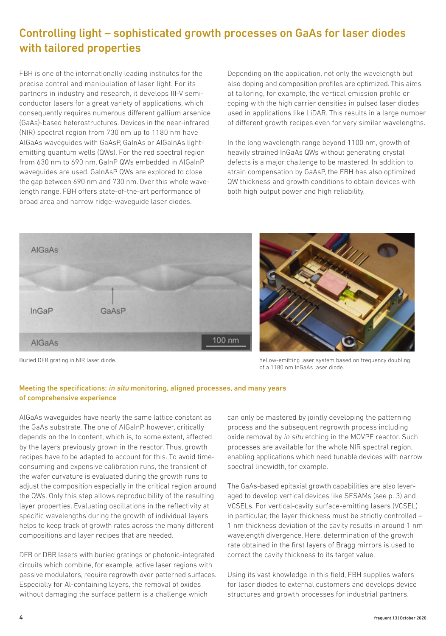## Controlling light – sophisticated growth processes on GaAs for laser diodes with tailored properties

FBH is one of the internationally leading institutes for the precise control and manipulation of laser light. For its partners in industry and research, it develops III-V semiconductor lasers for a great variety of applications, which consequently requires numerous different gallium arsenide (GaAs)-based heterostructures. Devices in the near-infrared (NIR) spectral region from 730 nm up to 1180 nm have AlGaAs waveguides with GaAsP, GaInAs or AlGaInAs lightemitting quantum wells (QWs). For the red spectral region from 630 nm to 690 nm, GaInP QWs embedded in AlGaInP waveguides are used. GaInAsP QWs are explored to close the gap between 690 nm and 730 nm. Over this whole wavelength range, FBH offers state-of-the-art performance of broad area and narrow ridge-waveguide laser diodes.

Depending on the application, not only the wavelength but also doping and composition profiles are optimized. This aims at tailoring, for example, the vertical emission profile or coping with the high carrier densities in pulsed laser diodes used in applications like LiDAR. This results in a large number of different growth recipes even for very similar wavelengths.

In the long wavelength range beyond 1100 nm, growth of heavily strained InGaAs QWs without generating crystal defects is a major challenge to be mastered. In addition to strain compensation by GaAsP, the FBH has also optimized QW thickness and growth conditions to obtain devices with both high output power and high reliability.



Buried DFB grating in NIR laser diode. The state of the state of the State of Team of Yellow-emitting laser system based on frequency doubling of a 1180 nm InGaAs laser diode.

### Meeting the specifications: in situ monitoring, aligned processes, and many years of comprehensive experience

AlGaAs waveguides have nearly the same lattice constant as the GaAs substrate. The one of AlGaInP, however, critically depends on the In content, which is, to some extent, affected by the layers previously grown in the reactor. Thus, growth recipes have to be adapted to account for this. To avoid timeconsuming and expensive calibration runs, the transient of the wafer curvature is evaluated during the growth runs to adjust the composition especially in the critical region around the QWs. Only this step allows reproducibility of the resulting layer properties. Evaluating oscillations in the reflectivity at specific wavelengths during the growth of individual layers helps to keep track of growth rates across the many different compositions and layer recipes that are needed.

DFB or DBR lasers with buried gratings or photonic-integrated circuits which combine, for example, active laser regions with passive modulators, require regrowth over patterned surfaces. Especially for Al-containing layers, the removal of oxides without damaging the surface pattern is a challenge which

can only be mastered by jointly developing the patterning process and the subsequent regrowth process including oxide removal by in situ etching in the MOVPE reactor. Such processes are available for the whole NIR spectral region, enabling applications which need tunable devices with narrow spectral linewidth, for example.

The GaAs-based epitaxial growth capabilities are also leveraged to develop vertical devices like SESAMs (see p. 3) and VCSELs. For vertical-cavity surface-emitting lasers (VCSEL) in particular, the layer thickness must be strictly controlled – 1 nm thickness deviation of the cavity results in around 1 nm wavelength divergence. Here, determination of the growth rate obtained in the first layers of Bragg mirrors is used to correct the cavity thickness to its target value.

Using its vast knowledge in this field, FBH supplies wafers for laser diodes to external customers and develops device structures and growth processes for industrial partners.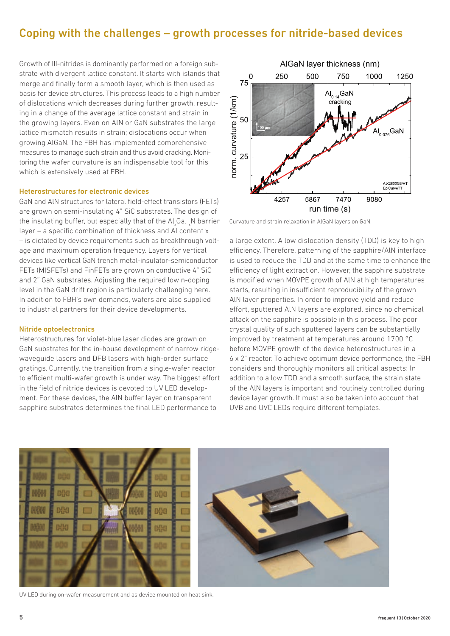## Coping with the challenges – growth processes for nitride-based devices

Growth of III-nitrides is dominantly performed on a foreign substrate with divergent lattice constant. It starts with islands that merge and finally form a smooth layer, which is then used as basis for device structures. This process leads to a high number of dislocations which decreases during further growth, resulting in a change of the average lattice constant and strain in the growing layers. Even on AlN or GaN substrates the large lattice mismatch results in strain; dislocations occur when growing AlGaN. The FBH has implemented comprehensive measures to manage such strain and thus avoid cracking. Monitoring the wafer curvature is an indispensable tool for this which is extensively used at FBH.

#### Heterostructures for electronic devices

GaN and AlN structures for lateral field-effect transistors (FETs) are grown on semi-insulating 4" SiC substrates. The design of the insulating buffer, but especially that of the  $\mathsf{Al}_x\mathsf{Ga}_{1\text{-}x}\mathsf{N}$  barrier layer – a specific combination of thickness and Al content x – is dictated by device requirements such as breakthrough voltage and maximum operation frequency. Layers for vertical devices like vertical GaN trench metal-insulator-semiconductor FETs (MISFETs) and FinFETs are grown on conductive 4" SiC and 2" GaN substrates. Adjusting the required low n-doping level in the GaN drift region is particularly challenging here. In addition to FBH's own demands, wafers are also supplied to industrial partners for their device developments.

#### Nitride optoelectronics

Heterostructures for violet-blue laser diodes are grown on GaN substrates for the in-house development of narrow ridgewaveguide lasers and DFB lasers with high-order surface gratings. Currently, the transition from a single-wafer reactor to efficient multi-wafer growth is under way. The biggest effort in the field of nitride devices is devoted to UV LED development. For these devices, the AlN buffer layer on transparent sapphire substrates determines the final LED performance to



Curvature and strain relaxation in AlGaN layers on GaN.

a large extent. A low dislocation density (TDD) is key to high efficiency. Therefore, patterning of the sapphire/AlN interface is used to reduce the TDD and at the same time to enhance the efficiency of light extraction. However, the sapphire substrate is modified when MOVPE growth of AlN at high temperatures starts, resulting in insufficient reproducibility of the grown AlN layer properties. In order to improve yield and reduce effort, sputtered AlN layers are explored, since no chemical attack on the sapphire is possible in this process. The poor crystal quality of such sputtered layers can be substantially improved by treatment at temperatures around 1700 °C before MOVPE growth of the device heterostructures in a 6 x 2" reactor. To achieve optimum device performance, the FBH considers and thoroughly monitors all critical aspects: In addition to a low TDD and a smooth surface, the strain state of the AlN layers is important and routinely controlled during device layer growth. It must also be taken into account that UVB and UVC LEDs require different templates.



UV LED during on-wafer measurement and as device mounted on heat sink.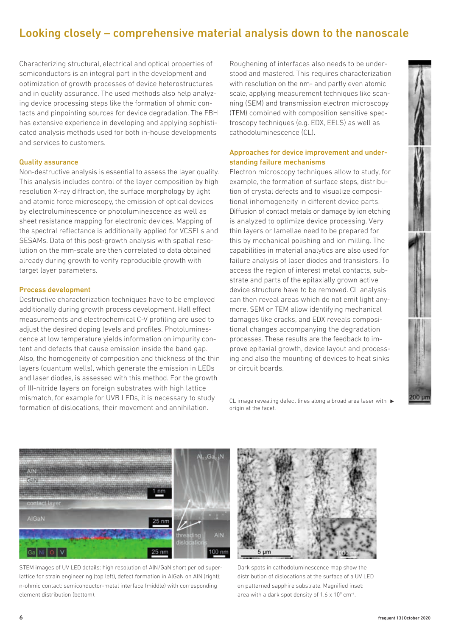## Looking closely – comprehensive material analysis down to the nanoscale

Characterizing structural, electrical and optical properties of semiconductors is an integral part in the development and optimization of growth processes of device heterostructures and in quality assurance. The used methods also help analyzing device processing steps like the formation of ohmic contacts and pinpointing sources for device degradation. The FBH has extensive experience in developing and applying sophisticated analysis methods used for both in-house developments and services to customers.

#### Quality assurance

Non-destructive analysis is essential to assess the layer quality. This analysis includes control of the layer composition by high resolution X-ray diffraction, the surface morphology by light and atomic force microscopy, the emission of optical devices by electroluminescence or photoluminescence as well as sheet resistance mapping for electronic devices. Mapping of the spectral reflectance is additionally applied for VCSELs and SESAMs. Data of this post-growth analysis with spatial resolution on the mm-scale are then correlated to data obtained already during growth to verify reproducible growth with target layer parameters.

#### Process development

Destructive characterization techniques have to be employed additionally during growth process development. Hall effect measurements and electrochemical C-V profiling are used to adjust the desired doping levels and profiles. Photoluminescence at low temperature yields information on impurity content and defects that cause emission inside the band gap. Also, the homogeneity of composition and thickness of the thin layers (quantum wells), which generate the emission in LEDs and laser diodes, is assessed with this method. For the growth of III-nitride layers on foreign substrates with high lattice mismatch, for example for UVB LEDs, it is necessary to study formation of dislocations, their movement and annihilation.

Roughening of interfaces also needs to be understood and mastered. This requires characterization with resolution on the nm- and partly even atomic scale, applying measurement techniques like scanning (SEM) and transmission electron microscopy (TEM) combined with composition sensitive spectroscopy techniques (e.g. EDX, EELS) as well as cathodoluminescence (CL).

#### Approaches for device improvement and understanding failure mechanisms

Electron microscopy techniques allow to study, for example, the formation of surface steps, distribution of crystal defects and to visualize compositional inhomogeneity in different device parts. Diffusion of contact metals or damage by ion etching is analyzed to optimize device processing. Very thin layers or lamellae need to be prepared for this by mechanical polishing and ion milling. The capabilities in material analytics are also used for failure analysis of laser diodes and transistors. To access the region of interest metal contacts, substrate and parts of the epitaxially grown active device structure have to be removed. CL analysis can then reveal areas which do not emit light anymore. SEM or TEM allow identifying mechanical damages like cracks, and EDX reveals compositional changes accompanying the degradation processes. These results are the feedback to improve epitaxial growth, device layout and processing and also the mounting of devices to heat sinks or circuit boards.

CL image revealing defect lines along a broad area laser with  $\blacktriangleright$ origin at the facet.



STEM images of UV LED details: high resolution of AlN/GaN short period superlattice for strain engineering (top left), defect formation in AlGaN on AlN (right); n-ohmic contact: semiconductor-metal interface (middle) with corresponding element distribution (bottom).



Dark spots in cathodoluminescence map show the distribution of dislocations at the surface of a UV LED on patterned sapphire substrate. Magnified inset: area with a dark spot density of  $1.6 \times 10^9$  cm<sup>-2</sup>.

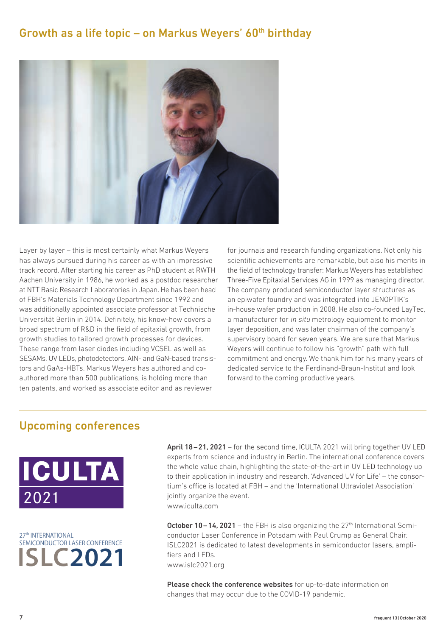## Growth as a life topic – on Markus Weyers'  $60<sup>th</sup>$  birthday



Layer by layer – this is most certainly what Markus Weyers has always pursued during his career as with an impressive track record. After starting his career as PhD student at RWTH Aachen University in 1986, he worked as a postdoc researcher at NTT Basic Research Laboratories in Japan. He has been head of FBH's Materials Technology Department since 1992 and was additionally appointed associate professor at Technische Universität Berlin in 2014. Definitely, his know-how covers a broad spectrum of R&D in the field of epitaxial growth, from growth studies to tailored growth processes for devices. These range from laser diodes including VCSEL as well as SESAMs, UV LEDs, photodetectors, AlN- and GaN-based transistors and GaAs-HBTs. Markus Weyers has authored and coauthored more than 500 publications, is holding more than ten patents, and worked as associate editor and as reviewer

for journals and research funding organizations. Not only his scientific achievements are remarkable, but also his merits in the field of technology transfer: Markus Weyers has established Three-Five Epitaxial Services AG in 1999 as managing director. The company produced semiconductor layer structures as an epiwafer foundry and was integrated into JENOPTIK's in-house wafer production in 2008. He also co-founded LayTec, a manufacturer for in situ metrology equipment to monitor layer deposition, and was later chairman of the company's supervisory board for seven years. We are sure that Markus Weyers will continue to follow his "growth" path with full commitment and energy. We thank him for his many years of dedicated service to the Ferdinand-Braun-Institut and look forward to the coming productive years.

## Upcoming conferences





April 18–21, 2021 – for the second time, ICULTA 2021 will bring together UV LED experts from science and industry in Berlin. The international conference covers the whole value chain, highlighting the state-of-the-art in UV LED technology up to their application in industry and research. 'Advanced UV for Life' – the consortium's office is located at FBH – and the 'International Ultraviolet Association' jointly organize the event. www.iculta.com

**October 10–14, 2021** – the FBH is also organizing the  $27<sup>th</sup>$  International Semiconductor Laser Conference in Potsdam with Paul Crump as General Chair. ISLC2021 is dedicated to latest developments in semiconductor lasers, amplifiers and LEDs. www.islc2021.org

Please check the conference websites for up-to-date information on changes that may occur due to the COVID-19 pandemic.